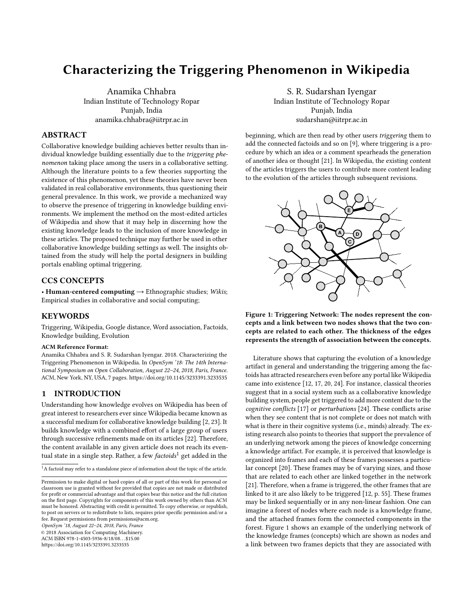# Characterizing the Triggering Phenomenon in Wikipedia

Anamika Chhabra Indian Institute of Technology Ropar Punjab, India anamika.chhabra@iitrpr.ac.in

## ABSTRACT

Collaborative knowledge building achieves better results than individual knowledge building essentially due to the triggering phenomenon taking place among the users in a collaborative setting. Although the literature points to a few theories supporting the existence of this phenomenon, yet these theories have never been validated in real collaborative environments, thus questioning their general prevalence. In this work, we provide a mechanized way to observe the presence of triggering in knowledge building environments. We implement the method on the most-edited articles of Wikipedia and show that it may help in discerning how the existing knowledge leads to the inclusion of more knowledge in these articles. The proposed technique may further be used in other collaborative knowledge building settings as well. The insights obtained from the study will help the portal designers in building portals enabling optimal triggering.

## CCS CONCEPTS

• Human-centered computing  $\rightarrow$  Ethnographic studies; Wikis; Empirical studies in collaborative and social computing;

#### **KEYWORDS**

Triggering, Wikipedia, Google distance, Word association, Factoids, Knowledge building, Evolution

#### ACM Reference Format:

Anamika Chhabra and S. R. Sudarshan Iyengar. 2018. Characterizing the Triggering Phenomenon in Wikipedia. In OpenSym '18: The 14th International Symposium on Open Collaboration, August 22–24, 2018, Paris, France. ACM, New York, NY, USA, [7](#page-6-0) pages.<https://doi.org/10.1145/3233391.3233535>

#### 1 INTRODUCTION

Understanding how knowledge evolves on Wikipedia has been of great interest to researchers ever since Wikipedia became known as a successful medium for collaborative knowledge building [\[2,](#page-6-1) [23\]](#page-6-2). It builds knowledge with a combined effort of a large group of users through successive refinements made on its articles [\[22\]](#page-6-3). Therefore, the content available in any given article does not reach its eventual state in a single step. Rather, a few  $factoids<sup>1</sup>$  $factoids<sup>1</sup>$  $factoids<sup>1</sup>$  get added in the

OpenSym '18, August 22–24, 2018, Paris, France

© 2018 Association for Computing Machinery.

ACM ISBN 978-1-4503-5936-8/18/08. . . \$15.00

<https://doi.org/10.1145/3233391.3233535>

S. R. Sudarshan Iyengar Indian Institute of Technology Ropar Punjab, India sudarshan@iitrpr.ac.in

beginning, which are then read by other users triggering them to add the connected factoids and so on [\[9\]](#page-6-4), where triggering is a procedure by which an idea or a comment spearheads the generation of another idea or thought [\[21\]](#page-6-5). In Wikipedia, the existing content of the articles triggers the users to contribute more content leading to the evolution of the articles through subsequent revisions.

<span id="page-0-1"></span>

Figure 1: Triggering Network: The nodes represent the concepts and a link between two nodes shows that the two concepts are related to each other. The thickness of the edges represents the strength of association between the concepts.

Literature shows that capturing the evolution of a knowledge artifact in general and understanding the triggering among the factoids has attracted researchers even before any portal like Wikipedia came into existence [\[12,](#page-6-6) [17,](#page-6-7) [20,](#page-6-8) [24\]](#page-6-9). For instance, classical theories suggest that in a social system such as a collaborative knowledge building system, people get triggered to add more content due to the cognitive conflicts [\[17\]](#page-6-7) or perturbations [\[24\]](#page-6-9). These conflicts arise when they see content that is not complete or does not match with what is there in their cognitive systems (i.e., minds) already. The existing research also points to theories that support the prevalence of an underlying network among the pieces of knowledge concerning a knowledge artifact. For example, it is perceived that knowledge is organized into frames and each of these frames possesses a particular concept [\[20\]](#page-6-8). These frames may be of varying sizes, and those that are related to each other are linked together in the network [\[21\]](#page-6-5). Therefore, when a frame is triggered, the other frames that are linked to it are also likely to be triggered [\[12,](#page-6-6) p. 55]. These frames may be linked sequentially or in any non-linear fashion. One can imagine a forest of nodes where each node is a knowledge frame, and the attached frames form the connected components in the forest. Figure [1](#page-0-1) shows an example of the underlying network of the knowledge frames (concepts) which are shown as nodes and a link between two frames depicts that they are associated with

<span id="page-0-0"></span><sup>&</sup>lt;sup>1</sup>A factoid may refer to a standalone piece of information about the topic of the article.

Permission to make digital or hard copies of all or part of this work for personal or classroom use is granted without fee provided that copies are not made or distributed for profit or commercial advantage and that copies bear this notice and the full citation on the first page. Copyrights for components of this work owned by others than ACM must be honored. Abstracting with credit is permitted. To copy otherwise, or republish, to post on servers or to redistribute to lists, requires prior specific permission and/or a fee. Request permissions from permissions@acm.org.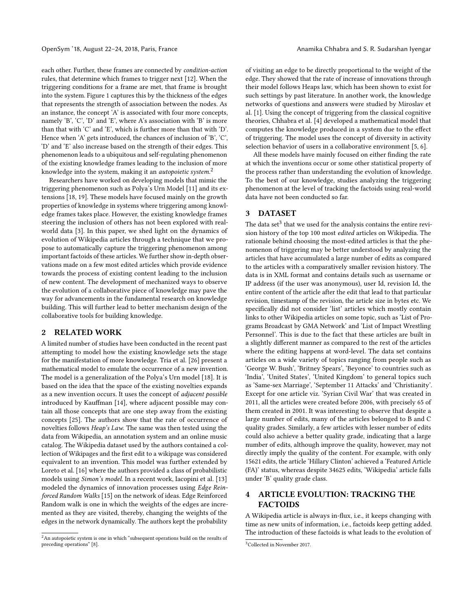each other. Further, these frames are connected by condition-action rules, that determine which frames to trigger next [\[12\]](#page-6-6). When the triggering conditions for a frame are met, that frame is brought into the system. Figure [1](#page-0-1) captures this by the thickness of the edges that represents the strength of association between the nodes. As an instance, the concept 'A' is associated with four more concepts, namely 'B', 'C', 'D' and 'E', where A's association with 'B' is more than that with 'C' and 'E', which is further more than that with 'D'. Hence when 'A' gets introduced, the chances of inclusion of 'B', 'C', 'D' and 'E' also increase based on the strength of their edges. This phenomenon leads to a ubiquitous and self-regulating phenomenon of the existing knowledge frames leading to the inclusion of more knowledge into the system, making it an *autopoietic system.<sup>[2](#page-1-0)</sup>* 

Researchers have worked on developing models that mimic the triggering phenomenon such as Polya's Urn Model [\[11\]](#page-6-10) and its extensions [\[18,](#page-6-11) [19\]](#page-6-12). These models have focused mainly on the growth properties of knowledge in systems where triggering among knowledge frames takes place. However, the existing knowledge frames steering the inclusion of others has not been explored with realworld data [\[3\]](#page-6-13). In this paper, we shed light on the dynamics of evolution of Wikipedia articles through a technique that we propose to automatically capture the triggering phenomenon among important factoids of these articles. We further show in-depth observations made on a few most edited articles which provide evidence towards the process of existing content leading to the inclusion of new content. The development of mechanized ways to observe the evolution of a collaborative piece of knowledge may pave the way for advancements in the fundamental research on knowledge building. This will further lead to better mechanism design of the collaborative tools for building knowledge.

## 2 RELATED WORK

A limited number of studies have been conducted in the recent past attempting to model how the existing knowledge sets the stage for the manifestation of more knowledge. Tria et al. [\[26\]](#page-6-14) present a mathematical model to emulate the occurrence of a new invention. The model is a generalization of the Polya's Urn model [\[18\]](#page-6-11). It is based on the idea that the space of the existing novelties expands as a new invention occurs. It uses the concept of adjacent possible introduced by Kauffman [\[14\]](#page-6-15), where adjacent possible may contain all those concepts that are one step away from the existing concepts [\[25\]](#page-6-16). The authors show that the rate of occurrence of novelties follows Heap's Law. The same was then tested using the data from Wikipedia, an annotation system and an online music catalog. The Wikipedia dataset used by the authors contained a collection of Wikipages and the first edit to a wikipage was considered equivalent to an invention. This model was further extended by Loreto et al. [\[16\]](#page-6-17) where the authors provided a class of probabilistic models using Simon's model. In a recent work, Iacopini et al. [\[13\]](#page-6-18) modeled the dynamics of innovation processes using Edge Reinforced Random Walks [\[15\]](#page-6-19) on the network of ideas. Edge Reinforced Random walk is one in which the weights of the edges are incremented as they are visited, thereby, changing the weights of the edges in the network dynamically. The authors kept the probability

of visiting an edge to be directly proportional to the weight of the edge. They showed that the rate of increase of innovations through their model follows Heaps law, which has been shown to exist for such settings by past literature. In another work, the knowledge networks of questions and answers were studied by Miroslav et al. [\[1\]](#page-6-21). Using the concept of triggering from the classical cognitive theories, Chhabra et al. [\[4\]](#page-6-22) developed a mathematical model that computes the knowledge produced in a system due to the effect of triggering. The model uses the concept of diversity in activity selection behavior of users in a collaborative environment [\[5,](#page-6-23) [6\]](#page-6-24).

All these models have mainly focused on either finding the rate at which the inventions occur or some other statistical property of the process rather than understanding the evolution of knowledge. To the best of our knowledge, studies analyzing the triggering phenomenon at the level of tracking the factoids using real-world data have not been conducted so far.

## 3 DATASET

The data set $^3$  $^3$  that we used for the analysis contains the entire revision history of the top 100 most edited articles on Wikipedia. The rationale behind choosing the most-edited articles is that the phenomenon of triggering may be better understood by analyzing the articles that have accumulated a large number of edits as compared to the articles with a comparatively smaller revision history. The data is in XML format and contains details such as username or IP address (if the user was anonymous), user Id, revision Id, the entire content of the article after the edit that lead to that particular revision, timestamp of the revision, the article size in bytes etc. We specifically did not consider 'list' articles which mostly contain links to other Wikipedia articles on some topic, such as 'List of Programs Broadcast by GMA Network' and 'List of Impact Wrestling Personnel'. This is due to the fact that these articles are built in a slightly different manner as compared to the rest of the articles where the editing happens at word-level. The data set contains articles on a wide variety of topics ranging from people such as 'George W. Bush', 'Britney Spears', 'Beyonce' to countries such as 'India', 'United States', 'United Kingdom' to general topics such as 'Same-sex Marriage', 'September 11 Attacks' and 'Christianity'. Except for one article viz. 'Syrian Civil War' that was created in 2011, all the articles were created before 2006, with precisely 65 of them created in 2001. It was interesting to observe that despite a large number of edits, many of the articles belonged to B and C quality grades. Similarly, a few articles with lesser number of edits could also achieve a better quality grade, indicating that a large number of edits, although improve the quality, however, may not directly imply the quality of the content. For example, with only 15621 edits, the article 'Hillary Clinton' achieved a 'Featured Article (FA)' status, whereas despite 34625 edits, 'Wikipedia' article falls under 'B' quality grade class.

## 4 ARTICLE EVOLUTION: TRACKING THE **FACTOIDS**

A Wikipedia article is always in-flux, i.e., it keeps changing with time as new units of information, i.e., factoids keep getting added. The introduction of these factoids is what leads to the evolution of

<span id="page-1-0"></span> ${}^{2}\mathrm{An}$  autopoietic system is one in which "subsequent operations build on the results of preceding operations" [\[8\]](#page-6-20).

<span id="page-1-1"></span><sup>3</sup>Collected in November 2017.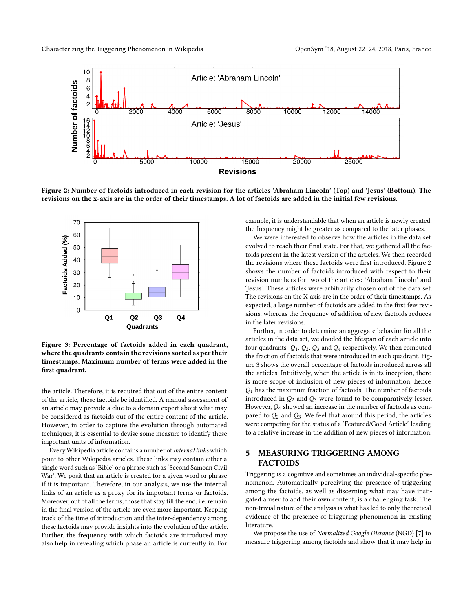<span id="page-2-0"></span>

Figure 2: Number of factoids introduced in each revision for the articles 'Abraham Lincoln' (Top) and 'Jesus' (Bottom). The revisions on the x-axis are in the order of their timestamps. A lot of factoids are added in the initial few revisions.

<span id="page-2-1"></span>

Figure 3: Percentage of factoids added in each quadrant, where the quadrants contain the revisions sorted as per their timestamps. Maximum number of terms were added in the first quadrant.

the article. Therefore, it is required that out of the entire content of the article, these factoids be identified. A manual assessment of an article may provide a clue to a domain expert about what may be considered as factoids out of the entire content of the article. However, in order to capture the evolution through automated techniques, it is essential to devise some measure to identify these important units of information.

Every Wikipedia article contains a number of Internal links which point to other Wikipedia articles. These links may contain either a single word such as 'Bible' or a phrase such as 'Second Samoan Civil War'. We posit that an article is created for a given word or phrase if it is important. Therefore, in our analysis, we use the internal links of an article as a proxy for its important terms or factoids. Moreover, out of all the terms, those that stay till the end, i.e. remain in the final version of the article are even more important. Keeping track of the time of introduction and the inter-dependency among these factoids may provide insights into the evolution of the article. Further, the frequency with which factoids are introduced may also help in revealing which phase an article is currently in. For

example, it is understandable that when an article is newly created, the frequency might be greater as compared to the later phases.

We were interested to observe how the articles in the data set evolved to reach their final state. For that, we gathered all the factoids present in the latest version of the articles. We then recorded the revisions where these factoids were first introduced. Figure [2](#page-2-0) shows the number of factoids introduced with respect to their revision numbers for two of the articles: 'Abraham Lincoln' and 'Jesus'. These articles were arbitrarily chosen out of the data set. The revisions on the X-axis are in the order of their timestamps. As expected, a large number of factoids are added in the first few revisions, whereas the frequency of addition of new factoids reduces in the later revisions.

Further, in order to determine an aggregate behavior for all the articles in the data set, we divided the lifespan of each article into four quadrants-  $Q_1$ ,  $Q_2$ ,  $Q_3$  and  $Q_4$  respectively. We then computed the fraction of factoids that were introduced in each quadrant. Figure [3](#page-2-1) shows the overall percentage of factoids introduced across all the articles. Intuitively, when the article is in its inception, there is more scope of inclusion of new pieces of information, hence  $Q_1$  has the maximum fraction of factoids. The number of factoids introduced in  $Q_2$  and  $Q_3$  were found to be comparatively lesser. However,  $Q_4$  showed an increase in the number of factoids as compared to  $Q_2$  and  $Q_3$ . We feel that around this period, the articles were competing for the status of a 'Featured/Good Article' leading to a relative increase in the addition of new pieces of information.

## 5 MEASURING TRIGGERING AMONG FACTOIDS

Triggering is a cognitive and sometimes an individual-specific phenomenon. Automatically perceiving the presence of triggering among the factoids, as well as discerning what may have instigated a user to add their own content, is a challenging task. The non-trivial nature of the analysis is what has led to only theoretical evidence of the presence of triggering phenomenon in existing literature.

We propose the use of Normalized Google Distance (NGD) [\[7\]](#page-6-25) to measure triggering among factoids and show that it may help in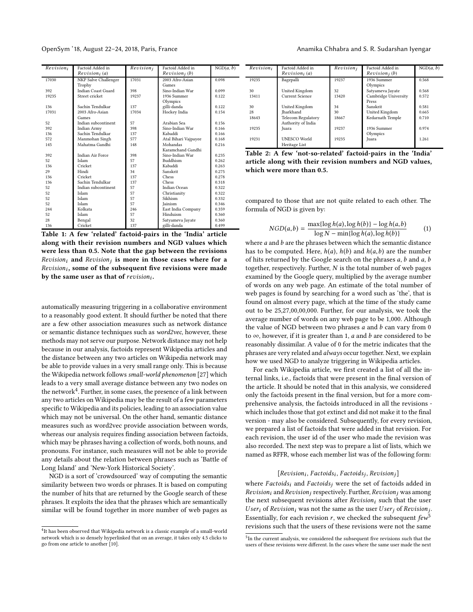<span id="page-3-3"></span>

| $Revision_i$ | Factoid Added in<br>Reviewion <sub>i</sub> (a) | $Revision_i$ | Factoid Added in<br>Reviewision <sub>i</sub> (b) | NGD(a, b) |
|--------------|------------------------------------------------|--------------|--------------------------------------------------|-----------|
| 17030        | NKP Salve Challenger                           | 17031        | 2003 Afro-Asian                                  | 0.098     |
|              | Trophy                                         |              | Games                                            |           |
| 392          | <b>Indian Coast Guard</b>                      | 398          | Sino-Indian War                                  | 0.099     |
| 19235        | Street cricket                                 | 19237        | 1936 Summer                                      | 0.122     |
|              |                                                |              | Olympics                                         |           |
| 136          | Sachin Tendulkar                               | 137          | gilli-danda                                      | 0.122     |
| 17031        | 2003 Afro-Asian                                | 17034        |                                                  | 0.154     |
|              | Games                                          |              | Hockey India                                     |           |
| 52           | Indian subcontinent                            | 57           | Arabian Sea                                      | 0.156     |
| 392          | Indian Army                                    | 398          | Sino-Indian War                                  | 0.166     |
| 136          | Sachin Tendulkar                               | 137          | Kabaddi                                          | 0.166     |
|              |                                                |              |                                                  |           |
| 572          | Manmohan Singh                                 | 577          | Atal Bihari Vajpayee                             | 0.168     |
| 145          | Mahatma Gandhi                                 | 148          | Mohandas                                         | 0.216     |
|              |                                                |              | Karamchand Gandhi                                |           |
| 392          | Indian Air Force                               | 398          | Sino-Indian War                                  | 0.235     |
| 52           | Islam                                          | 57           | <b>Buddhism</b>                                  | 0.262     |
| 136          | Cricket                                        | 137          | Kabaddi                                          | 0.263     |
| 29           | Hindi                                          | 34           | Sanskrit                                         | 0.275     |
| 136          | Cricket                                        | 137          | Chess                                            | 0.278     |
| 136          | Sachin Tendulkar                               | 137          | Chess                                            | 0.318     |
| 52           | Indian subcontinent                            | 57           | <b>Indian Ocean</b>                              | 0.322     |
| 52           | Islam                                          | 57           | Christianity                                     | 0.322     |
| 52           | Islam                                          | 57           | Sikhism                                          | 0.332     |
| 52           | Islam                                          | 57           | Jainism                                          | 0.346     |
| 244          | Kolkata                                        | 246          | East India Company                               | 0.359     |
| 52           | Islam                                          | 57           | Hinduism                                         | 0.360     |
| 28           | Bengal                                         | 32           | Satyameva Jayate                                 | 0.360     |
| 136          | Cricket                                        | 137          | gilli-danda                                      | 0.499     |

Table 1: A few 'related' factoid-pairs in the 'India' article along with their revision numbers and NGD values which were less than 0.5. Note that the gap between the revisions Revision<sub>i</sub> and Revision<sub>i</sub> is more in those cases where for a by the same user as that of  $revision_i$ .  $Revision_i$ , some of the subsequent five revisions were made

automatically measuring triggering in a collaborative environment to a reasonably good extent. It should further be noted that there are a few other association measures such as network distance or semantic distance techniques such as word2vec, however, these methods may not serve our purpose. Network distance may not help because in our analysis, factoids represent Wikipedia articles and the distance between any two articles on Wikipedia network may be able to provide values in a very small range only. This is because the Wikipedia network follows small-world phenomenon [\[27\]](#page-6-26) which leads to a very small average distance between any two nodes on the network $\rm ^4$  $\rm ^4$ . Further, in some cases, the presence of a link between any two articles on Wikipedia may be the result of a few parameters specific to Wikipedia and its policies, leading to an association value which may not be universal. On the other hand, semantic distance measures such as word2vec provide association between words, whereas our analysis requires finding association between factoids, which may be phrases having a collection of words, both nouns, and pronouns. For instance, such measures will not be able to provide any details about the relation between phrases such as 'Battle of Long Island' and 'New-York Historical Society'.

NGD is a sort of 'crowdsourced' way of computing the semantic similarity between two words or phrases. It is based on computing the number of hits that are returned by the Google search of these phrases. It exploits the idea that the phrases which are semantically similar will be found together in more number of web pages as

<span id="page-3-4"></span>

| <i>Revision<sub>i</sub></i> | Factoid Added in<br>Reviewision <sub>i</sub> (a) | <i>Revision<sub>i</sub></i> | Factoid Added in<br>Reviewion <sub>i</sub> (b) | NGD(a, b) |
|-----------------------------|--------------------------------------------------|-----------------------------|------------------------------------------------|-----------|
| 19235                       | Bagepalli                                        | 19237                       | 1936 Summer                                    | 0.568     |
|                             |                                                  |                             | Olympics                                       |           |
| 30                          | United Kingdom                                   | 32                          | Satyameva Jayate                               | 0.568     |
| 13411                       | Current Science                                  | 13420                       | Cambridge University                           | 0.572     |
|                             |                                                  |                             | Press                                          |           |
| 30                          | United Kingdom                                   | 34                          | Sanskrit                                       | 0.581     |
| 28                          | Iharkhand                                        | 30                          | United Kingdom                                 | 0.665     |
| 18643                       | Telecom Regulatory                               | 18667                       | Kedarnath Temple                               | 0.710     |
|                             | Authority of India                               |                             |                                                |           |
| 19235                       | Juara                                            | 19237                       | 1936 Summer                                    | 0.974     |
|                             |                                                  |                             | Olympics                                       |           |
| 19231                       | <b>UNESCO World</b>                              | 19235                       | Juara                                          | 1.261     |
|                             | Heritage List                                    |                             |                                                |           |

Table 2: A few 'not-so-related' factoid-pairs in the 'India' article along with their revision numbers and NGD values, which were more than 0.5.

compared to those that are not quite related to each other. The formula of NGD is given by:

<span id="page-3-2"></span>
$$
NGD(a, b) = \frac{\max\{\log h(a), \log h(b)\} - \log h(a, b)}{\log N - \min\{\log h(a), \log h(b)\}}\tag{1}
$$

where *a* and *b* are the phrases between which the semantic distance<br>has to be computed. Here  $h(a)$ ,  $h(b)$  and  $h(a, b)$  are the number has to be computed. Here,  $h(a)$ ,  $h(b)$  and  $h(a,b)$  are the number of hits returned by the Google search on the phrases  $a$ ,  $b$  and  $a$ ,  $b$ together, respectively. Further, N is the total number of web pages examined by the Google query, multiplied by the average number of words on any web page. An estimate of the total number of web pages is found by searching for a word such as 'the', that is found on almost every page, which at the time of the study came out to be 25,27,00,00,000. Further, for our analysis, we took the average number of words on any web page to be 1,000. Although the value of NGD between two phrases  $a$  and  $b$  can vary from  $0$ to  $\infty$ , however, if it is greater than 1, *a* and *b* are considered to be reasonably dissimilar. A value of 0 for the metric indicates that the phrases are very related and always occur together. Next, we explain how we used NGD to analyze triggering in Wikipedia articles.

For each Wikipedia article, we first created a list of all the internal links, i.e., factoids that were present in the final version of the article. It should be noted that in this analysis, we considered only the factoids present in the final version, but for a more comprehensive analysis, the factoids introduced in all the revisions which includes those that got extinct and did not make it to the final version - may also be considered. Subsequently, for every revision, we prepared a list of factoids that were added in that revision. For each revision, the user id of the user who made the revision was also recorded. The next step was to prepare a list of lists, which we named as RFFR, whose each member list was of the following form:

## $[Reviewision<sub>i</sub>, Factoids<sub>i</sub>, Factoids<sub>j</sub>, Revision<sub>j</sub>]$

where  $Factoids_i$  and  $Factoids_j$  were the set of factoids added in Revision<sub>i</sub> and Revision<sub>i</sub> respectively. Further, Revision<sub>i</sub> was among the next subsequent revisions after  $Reviewi$  such that the user User<sub>i</sub> of Revision<sub>i</sub> was not the same as the user User<sub>j</sub> of Revision<sub>j</sub>.<br>Essentially for each ravision r, we chooked the subsequent fau<sup>5</sup> Essentially, for each revision  $r$ , we checked the subsequent  $few^5$  $few^5$ revisions such that the users of these revisions were not the same

<span id="page-3-0"></span><sup>&</sup>lt;sup>4</sup>It has been observed that Wikipedia network is a classic example of a small-world network which is so densely hyperlinked that on an average, it takes only 4.5 clicks to go from one article to another [\[10\]](#page-6-27).

<span id="page-3-1"></span><sup>&</sup>lt;sup>5</sup>In the current analysis, we considered the subsequent five revisions such that the users of these revisions were different. In the cases where the same user made the next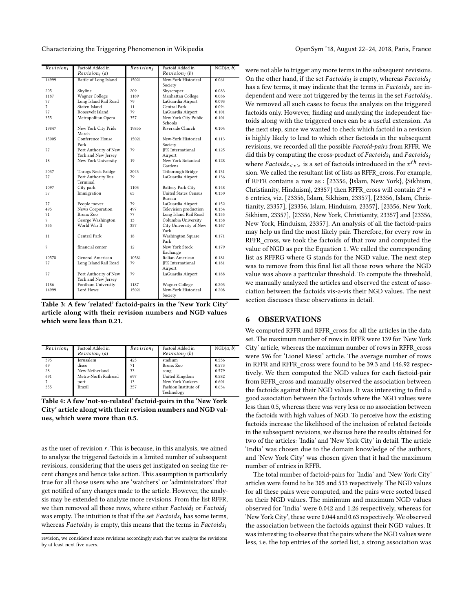<span id="page-4-0"></span>

| $Revision_i$ | Factoid Added in          | $Revision_i$ | Factoid Added in             | NGD(a, b) |
|--------------|---------------------------|--------------|------------------------------|-----------|
|              | Revision <sub>i</sub> (a) |              | Reviewision <sub>i</sub> (b) |           |
| 14999        | Battle of Long Island     | 15021        | New-York Historical          | 0.061     |
|              |                           |              | Society                      |           |
| 205          | Skyline                   | 209          | Skyscraper                   | 0.083     |
| 1187         | Wagner College            | 1189         | Manhattan College            | 0.086     |
| 77           | Long Island Rail Road     | 79           | LaGuardia Airport            | 0.093     |
| 7            | Staten Island             | 11           | Central Park                 | 0.094     |
| 77           | Roosevelt Island          | 79           | LaGuardia Airport            | 0.101     |
| 355          | Metropolitan Opera        | 357          | New York City Public         | 0.101     |
|              |                           |              | Schools                      |           |
| 19847        | New York City Pride       | 19855        | Riverside Church             | 0.104     |
|              | March                     |              |                              |           |
| 15005        | Conference House          | 15021        | New-York Historical          | 0.113     |
|              | Park                      |              | Society                      |           |
| 77           | Port Authority of New     | 79           | JFK International            | 0.125     |
|              | York and New Jersey       |              | Airport                      |           |
| 18           | New York University       | 19           | New York Botanical           | 0.128     |
|              |                           |              | Gardens                      |           |
| 2037         | Throgs Neck Bridge        | 2043         | Triborough Bridge            | 0.131     |
| 77           | Port Authority Bus        | 79           | LaGuardia Airport            | 0.136     |
|              | Terminal                  |              |                              |           |
| 1097         | City park                 | 1103         | <b>Battery Park City</b>     | 0.148     |
| 57           | Immigration               | 65           | <b>United States Census</b>  | 0.150     |
|              |                           |              | Bureau                       |           |
| 77           | People mover              | 79           | LaGuardia Airport            | 0.152     |
| 495          | News Corporation          | 497          | Television production        | 0.154     |
| 71           | Bronx Zoo                 | 77           | Long Island Rail Road        | 0.155     |
| 7            | George Washington         | 13           | Columbia University          | 0.158     |
| 355          | World War II              | 357          | City University of New       | 0.167     |
|              |                           |              | York                         |           |
| 11           | Central Park              | 18           | Washington Square            | 0.171     |
|              |                           |              | Park                         |           |
| 7            | financial center          | 12           | New York Stock               | 0.179     |
|              |                           |              | Exchange                     |           |
| 10578        | General American          | 10581        | Italian American             | 0.181     |
| 77           | Long Island Rail Road     | 79           | <b>JFK</b> International     | 0.181     |
|              |                           |              | Airport                      |           |
| 77           | Port Authority of New     | 79           | LaGuardia Airport            | 0.188     |
|              | York and New Jersey       |              |                              |           |
| 1186         | Fordham University        | 1187         | Wagner College               | 0.203     |
| 14999        | Lord Howe                 | 15021        | New-York Historical          | 0.208     |
|              |                           |              | Society                      |           |

Table 3: A few 'related' factoid-pairs in the 'New York City' article along with their revision numbers and NGD values which were less than 0.21.

<span id="page-4-1"></span>

| $Revision_i$ | Factoid Added in<br>Reviewision <sub>i</sub> (a) | $Revision_i$ | Factoid Added in<br>Reviewision <sub>i</sub> (b) | NGD(a, b) |
|--------------|--------------------------------------------------|--------------|--------------------------------------------------|-----------|
| 395          | <b>Ierusalem</b>                                 | 425          | stadium                                          | 0.556     |
| 69           | disco                                            | 71           | Bronx Zoo                                        | 0.573     |
| 28           | New Netherland                                   | 33           | song                                             | 0.579     |
| 691          | Metro-North Railroad                             | 697          | United Kingdom                                   | 0.582     |
|              | port                                             | 13           | New York Yankees                                 | 0.601     |
| 355          | Brazil                                           | 357          | Fashion Institute of                             | 0.634     |
|              |                                                  |              | Technology                                       |           |

Table 4: A few 'not-so-related' factoid-pairs in the 'New York City' article along with their revision numbers and NGD values, which were more than 0.5.

as the user of revision  $r$ . This is because, in this analysis, we aimed to analyze the triggered factoids in a limited number of subsequent revisions, considering that the users get instigated on seeing the recent changes and hence take action. This assumption is particularly true for all those users who are 'watchers' or 'administrators' that get notified of any changes made to the article. However, the analysis may be extended to analyze more revisions. From the list RFFR, we then removed all those rows, where either  $Factoridi_i$  or  $Factoridi_j$ was empty. The intuition is that if the set  $Factoids<sub>i</sub>$  has some terms, whereas  $Factoids_j$  is empty, this means that the terms in  $Factoids_i$ 

were not able to trigger any more terms in the subsequent revisions. On the other hand, if the set  $Factoids_i$  is empty, whereas  $Factoids_i$ <br>has a few terms, it may indicate that the terms in  $Factoids_i$  are in has a few terms, it may indicate that the terms in  $Factoids<sub>i</sub>$  are independent and were not triggered by the terms in the set  $Factoris_i$ .<br>We removed all such cases to focus the analysis on the triggered We removed all such cases to focus the analysis on the triggered factoids only. However, finding and analyzing the independent factoids along with the triggered ones can be a useful extension. As the next step, since we wanted to check which factoid in a revision is highly likely to lead to which other factoids in the subsequent revisions, we recorded all the possible Factoid-pairs from RFFR. We did this by computing the cross-product of  $Factoids_i$  and  $Factoids_i$ where  $Factoids_{ $x>$  is a set of factoids introduced in the  $x^{th}$  revi-<br>sion. We called the resultant list of lists as REER, cross. For example,$ sion. We called the resultant list of lists as RFFR\_cross. For example, if RFFR contains a row as : [23356, {Islam, New York}, {Sikhism, Christianity, Hinduism}, 23357] then RFFR\_cross will contain  $2*3 =$ 6 entries, viz. [23356, Islam, Sikhism, 23357], [23356, Islam, Christianity, 23357], [23356, Islam, Hinduism, 23357], [23356, New York, Sikhism, 23357], [23356, New York, Christianity, 23357] and [23356, New York, Hinduism, 23357]. An analysis of all the factoid-pairs may help us find the most likely pair. Therefore, for every row in RFFR\_cross, we took the factoids of that row and computed the value of NGD as per the Equation [1.](#page-3-2) We called the corresponding list as RFFRG where G stands for the NGD value. The next step was to remove from this final list all those rows where the NGD value was above a particular threshold. To compute the threshold, we manually analyzed the articles and observed the extent of association between the factoids vis-a-vis their NGD values. The next section discusses these observations in detail.

## 6 OBSERVATIONS

We computed RFFR and RFFR cross for all the articles in the data set. The maximum number of rows in RFFR were 139 for 'New York City' article, whereas the maximum number of rows in RFFR\_cross were 596 for 'Lionel Messi' article. The average number of rows in RFFR and RFFR\_cross were found to be 39.3 and 146.92 respectively. We then computed the NGD values for each factoid-pair from RFFR cross and manually observed the association between the factoids against their NGD values. It was interesting to find a good association between the factoids where the NGD values were less than 0.5, whereas there was very less or no association between the factoids with high values of NGD. To perceive how the existing factoids increase the likelihood of the inclusion of related factoids in the subsequent revisions, we discuss here the results obtained for two of the articles: 'India' and 'New York City' in detail. The article 'India' was chosen due to the domain knowledge of the authors, and 'New York City' was chosen given that it had the maximum number of entries in RFFR.

The total number of factoid-pairs for 'India' and 'New York City' articles were found to be 305 and 533 respectively. The NGD values for all these pairs were computed, and the pairs were sorted based on their NGD values. The minimum and maximum NGD values observed for 'India' were 0.042 and 1.26 respectively, whereas for 'New York City', these were 0.044 and 0.63 respectively. We observed the association between the factoids against their NGD values. It was interesting to observe that the pairs where the NGD values were less, i.e. the top entries of the sorted list, a strong association was

revision, we considered more revisions accordingly such that we analyze the revisions by at least next five users.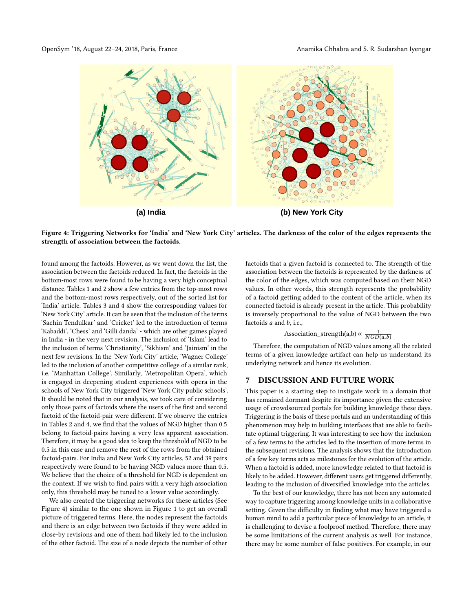<span id="page-5-0"></span>

Figure 4: Triggering Networks for 'India' and 'New York City' articles. The darkness of the color of the edges represents the strength of association between the factoids.

found among the factoids. However, as we went down the list, the association between the factoids reduced. In fact, the factoids in the bottom-most rows were found to be having a very high conceptual distance. Tables [1](#page-3-3) and [2](#page-3-4) show a few entries from the top-most rows and the bottom-most rows respectively, out of the sorted list for 'India' article. Tables [3](#page-4-0) and [4](#page-4-1) show the corresponding values for 'New York City' article. It can be seen that the inclusion of the terms 'Sachin Tendulkar' and 'Cricket' led to the introduction of terms 'Kabaddi', 'Chess' and 'Gilli danda' - which are other games played in India - in the very next revision. The inclusion of 'Islam' lead to the inclusion of terms 'Christianity', 'Sikhism' and 'Jainism' in the next few revisions. In the 'New York City' article, 'Wagner College' led to the inclusion of another competitive college of a similar rank, i.e. 'Manhattan College'. Similarly, 'Metropolitan Opera', which is engaged in deepening student experiences with opera in the schools of New York City triggered 'New York City public schools'. It should be noted that in our analysis, we took care of considering only those pairs of factoids where the users of the first and second factoid of the factoid-pair were different. If we observe the entries in Tables [2](#page-3-4) and [4,](#page-4-1) we find that the values of NGD higher than 0.5 belong to factoid-pairs having a very less apparent association. Therefore, it may be a good idea to keep the threshold of NGD to be 0.5 in this case and remove the rest of the rows from the obtained factoid-pairs. For India and New York City articles, 52 and 39 pairs respectively were found to be having NGD values more than 0.5. We believe that the choice of a threshold for NGD is dependent on the context. If we wish to find pairs with a very high association only, this threshold may be tuned to a lower value accordingly.

We also created the triggering networks for these articles (See Figure [4\)](#page-5-0) similar to the one shown in Figure [1](#page-0-1) to get an overall picture of triggered terms. Here, the nodes represent the factoids and there is an edge between two factoids if they were added in close-by revisions and one of them had likely led to the inclusion of the other factoid. The size of a node depicts the number of other factoids that a given factoid is connected to. The strength of the association between the factoids is represented by the darkness of the color of the edges, which was computed based on their NGD values. In other words, this strength represents the probability of a factoid getting added to the content of the article, when its connected factoid is already present in the article. This probability is inversely proportional to the value of NGD between the two factoids  $a$  and  $b$ , i.e.,

# Association\_strength(a,b)  $\propto \frac{1}{NGD(a,b)}$

Therefore, the computation of NGD values among all the related terms of a given knowledge artifact can help us understand its underlying network and hence its evolution.

#### 7 DISCUSSION AND FUTURE WORK

This paper is a starting step to instigate work in a domain that has remained dormant despite its importance given the extensive usage of crowdsourced portals for building knowledge these days. Triggering is the basis of these portals and an understanding of this phenomenon may help in building interfaces that are able to facilitate optimal triggering. It was interesting to see how the inclusion of a few terms to the articles led to the insertion of more terms in the subsequent revisions. The analysis shows that the introduction of a few key terms acts as milestones for the evolution of the article. When a factoid is added, more knowledge related to that factoid is likely to be added. However, different users get triggered differently, leading to the inclusion of diversified knowledge into the articles.

To the best of our knowledge, there has not been any automated way to capture triggering among knowledge units in a collaborative setting. Given the difficulty in finding what may have triggered a human mind to add a particular piece of knowledge to an article, it is challenging to devise a foolproof method. Therefore, there may be some limitations of the current analysis as well. For instance, there may be some number of false positives. For example, in our